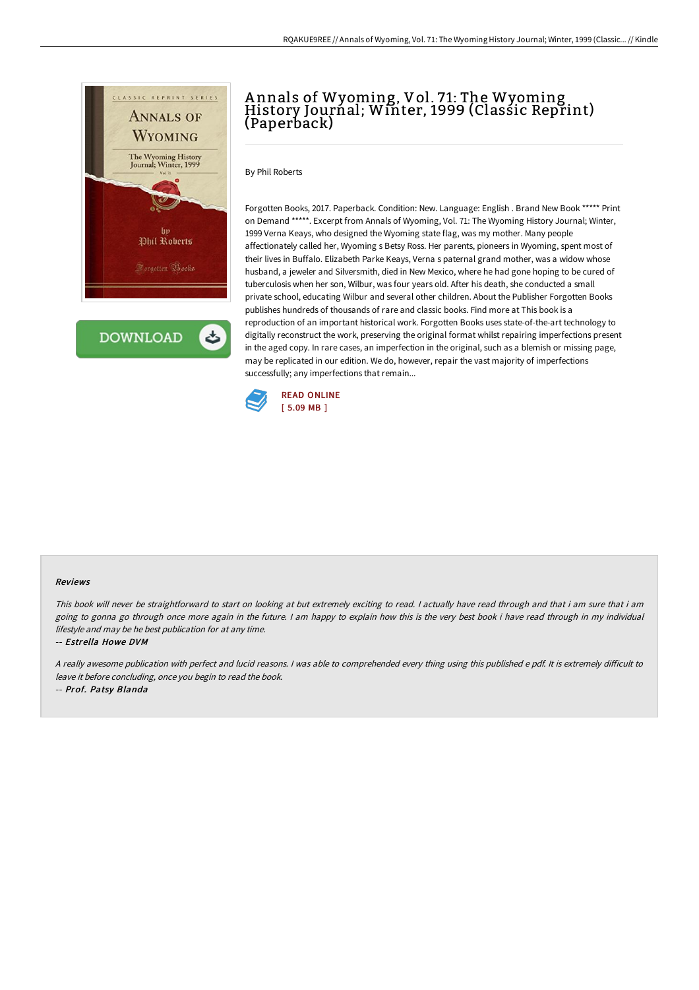

**DOWNLOAD** 

# Annals of Wyoming, Vol. 71: The Wyoming<br>History Journal; Winter, 1999 (Classic Reprint) (Paperback)

By Phil Roberts

Forgotten Books, 2017. Paperback. Condition: New. Language: English . Brand New Book \*\*\*\*\* Print on Demand \*\*\*\*\*. Excerpt from Annals of Wyoming, Vol. 71: The Wyoming History Journal; Winter, 1999 Verna Keays, who designed the Wyoming state flag, was my mother. Many people affectionately called her, Wyoming s Betsy Ross. Her parents, pioneers in Wyoming, spent most of their lives in Buffalo. Elizabeth Parke Keays, Verna s paternal grand mother, was a widow whose husband, a jeweler and Silversmith, died in New Mexico, where he had gone hoping to be cured of tuberculosis when her son, Wilbur, was four years old. After his death, she conducted a small private school, educating Wilbur and several other children. About the Publisher Forgotten Books publishes hundreds of thousands of rare and classic books. Find more at This book is a reproduction of an important historical work. Forgotten Books uses state-of-the-art technology to digitally reconstruct the work, preserving the original format whilst repairing imperfections present in the aged copy. In rare cases, an imperfection in the original, such as a blemish or missing page, may be replicated in our edition. We do, however, repair the vast majority of imperfections successfully; any imperfections that remain...



#### Reviews

This book will never be straightforward to start on looking at but extremely exciting to read. <sup>I</sup> actually have read through and that i am sure that i am going to gonna go through once more again in the future. I am happy to explain how this is the very best book i have read through in my individual lifestyle and may be he best publication for at any time.

#### -- Estrella Howe DVM

A really awesome publication with perfect and lucid reasons. I was able to comprehended every thing using this published e pdf. It is extremely difficult to leave it before concluding, once you begin to read the book.

-- Prof. Patsy Blanda